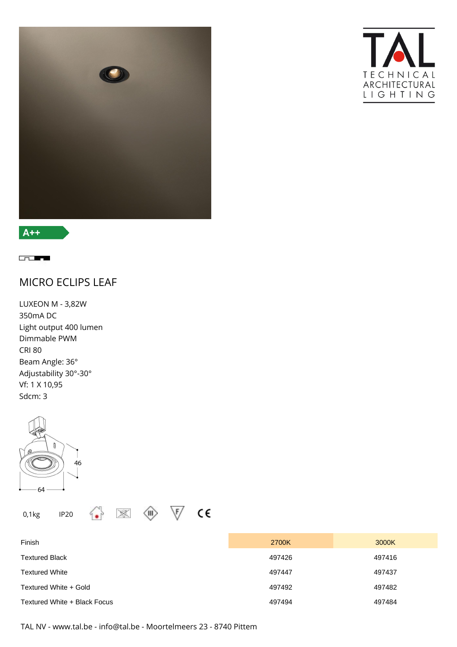



**Contract** 

MICRO ECLIPS LEAF

LUXEON M - 3,82W 350mA DC Light output 400 lumen Dimmable PWM CRI 80 Beam Angle: 36° Adjustability 30°-30° Vf: 1 X 10,95 Sdcm: 3



| Finish                       | 2700K  | 3000K  |
|------------------------------|--------|--------|
| Textured Black               | 497426 | 497416 |
| Textured White               | 497447 | 497437 |
| Textured White + Gold        | 497492 | 497482 |
| Textured White + Black Focus | 497494 | 497484 |

TAL NV - www.tal.be - info@tal.be - Moortelmeers 23 - 8740 Pittem